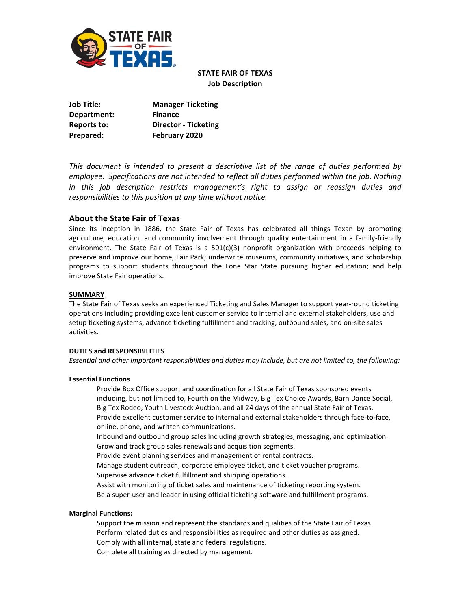

# **STATE FAIR OF TEXAS Job Description**

| Job Title:  | <b>Manager-Ticketing</b>    |
|-------------|-----------------------------|
| Department: | <b>Finance</b>              |
| Reports to: | <b>Director - Ticketing</b> |
| Prepared:   | February 2020               |

*This document is intended to present a descriptive list of the range of duties performed by employee. Specifications are not intended to reflect all duties performed within the job. Nothing in this job description restricts management's right to assign or reassign duties and responsibilities to this position at any time without notice.*

# **About the State Fair of Texas**

Since its inception in 1886, the State Fair of Texas has celebrated all things Texan by promoting agriculture, education, and community involvement through quality entertainment in a family-friendly environment. The State Fair of Texas is a  $501(c)(3)$  nonprofit organization with proceeds helping to preserve and improve our home, Fair Park; underwrite museums, community initiatives, and scholarship programs to support students throughout the Lone Star State pursuing higher education; and help improve State Fair operations.

## **SUMMARY**

The State Fair of Texas seeks an experienced Ticketing and Sales Manager to support year-round ticketing operations including providing excellent customer service to internal and external stakeholders, use and setup ticketing systems, advance ticketing fulfillment and tracking, outbound sales, and on-site sales activities.

### **DUTIES and RESPONSIBILITIES**

*Essential and other important responsibilities and duties may include, but are not limited to, the following:*

## **Essential Functions**

 Provide Box Office support and coordination for all State Fair of Texas sponsored events including, but not limited to, Fourth on the Midway, Big Tex Choice Awards, Barn Dance Social, Big Tex Rodeo, Youth Livestock Auction, and all 24 days of the annual State Fair of Texas. Provide excellent customer service to internal and external stakeholders through face-to-face, online, phone, and written communications.

 Inbound and outbound group sales including growth strategies, messaging, and optimization. Grow and track group sales renewals and acquisition segments.

Provide event planning services and management of rental contracts.

Manage student outreach, corporate employee ticket, and ticket voucher programs.

Supervise advance ticket fulfillment and shipping operations.

 Assist with monitoring of ticket sales and maintenance of ticketing reporting system. Be a super-user and leader in using official ticketing software and fulfillment programs.

### **Marginal Functions:**

 Support the mission and represent the standards and qualities of the State Fair of Texas. Perform related duties and responsibilities as required and other duties as assigned. Comply with all internal, state and federal regulations.

Complete all training as directed by management.